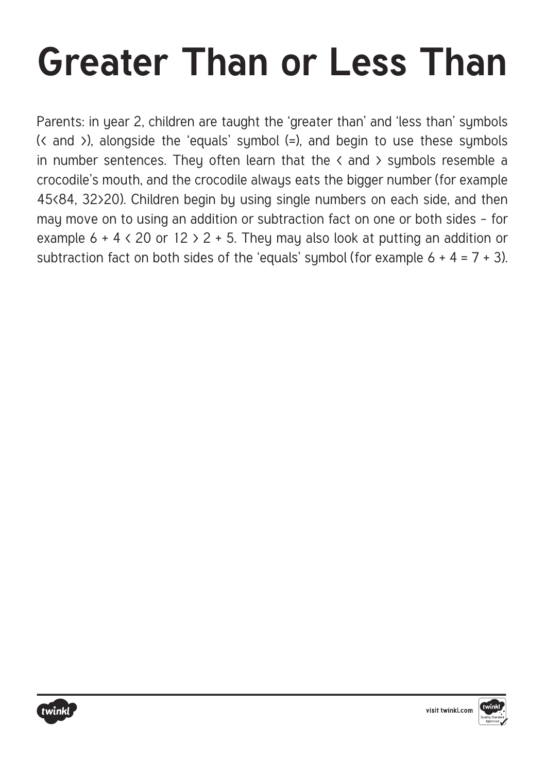Parents: in year 2, children are taught the 'greater than' and 'less than' symbols (< and >), alongside the 'equals' symbol (=), and begin to use these symbols in number sentences. They often learn that the  $\langle$  and  $\rangle$  symbols resemble a crocodile's mouth, and the crocodile always eats the bigger number (for example 45<84, 32>20). Children begin by using single numbers on each side, and then may move on to using an addition or subtraction fact on one or both sides – for example  $6 + 4 < 20$  or  $12 > 2 + 5$ . They may also look at putting an addition or subtraction fact on both sides of the 'equals' sumbol (for example  $6 + 4 = 7 + 3$ ).



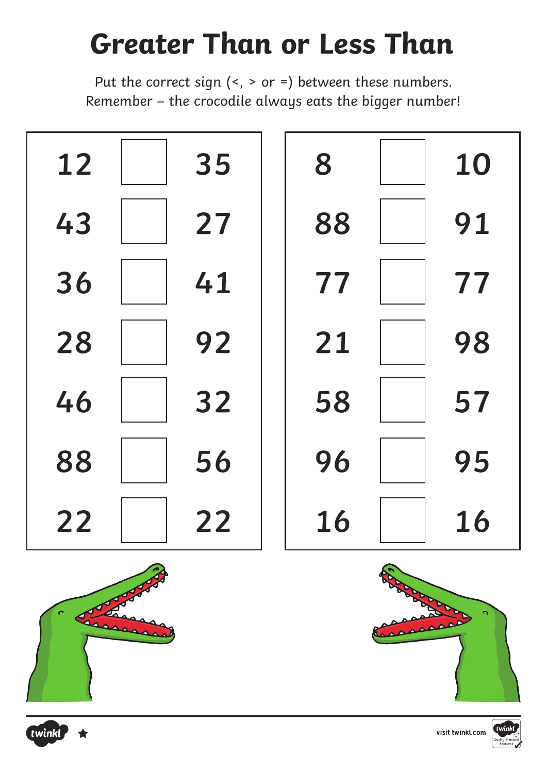Put the correct sign (<, > or =) between these numbers. Remember – the crocodile always eats the bigger number!





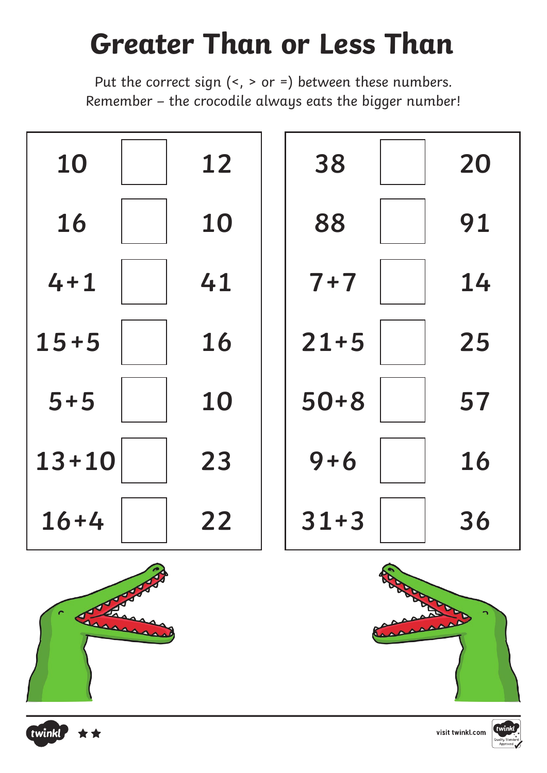Put the correct sign (<, > or =) between these numbers. Remember – the crocodile always eats the bigger number!





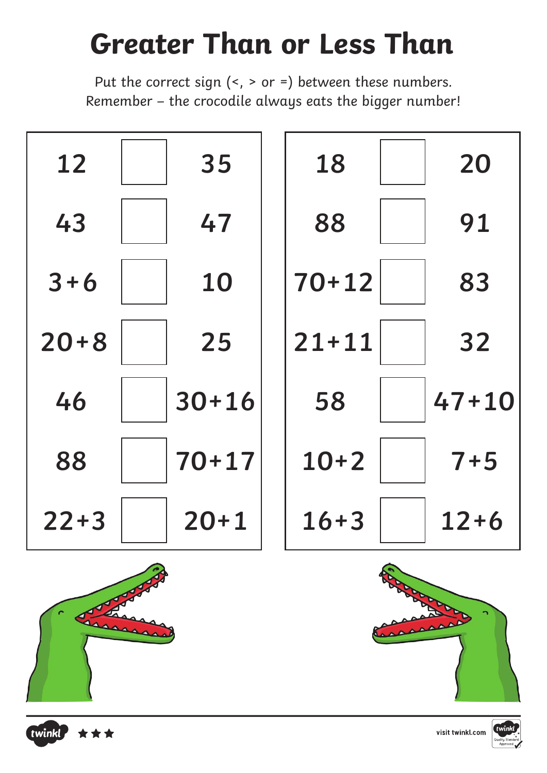Put the correct sign  $($  >  $)$  > or =  $)$  between these numbers. Remember – the crocodile always eats the bigger number!





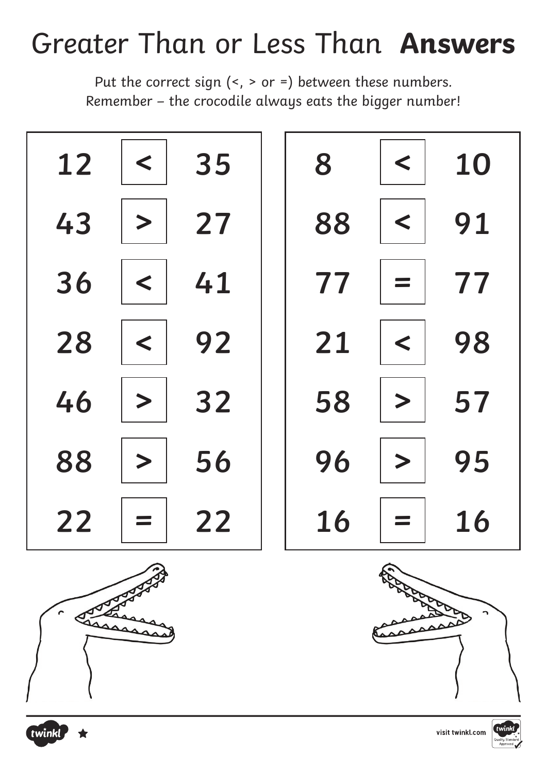### Greater Than or Less Than **Answers**

Put the correct sign (<, > or =) between these numbers. Remember – the crocodile always eats the bigger number!





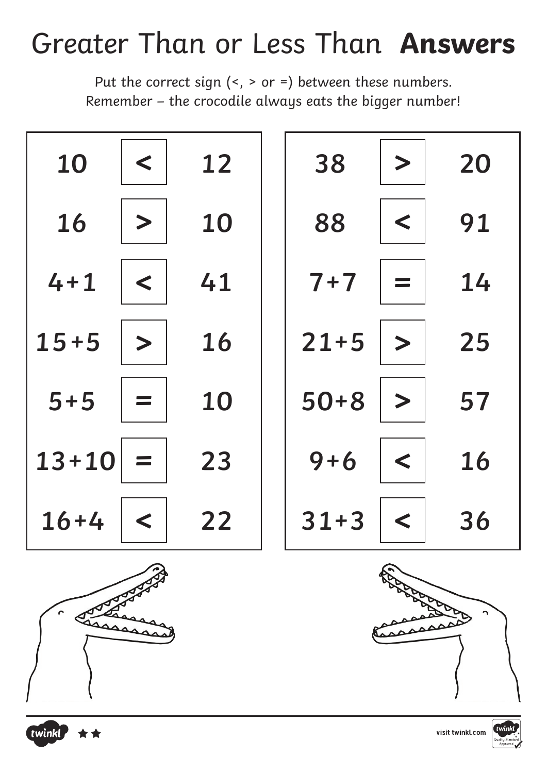#### Greater Than or Less Than **Answers**

Put the correct sign  $($  >  $)$  > or =  $)$  between these numbers. Remember – the crocodile always eats the bigger number!



![](_page_5_Picture_3.jpeg)

![](_page_5_Picture_5.jpeg)